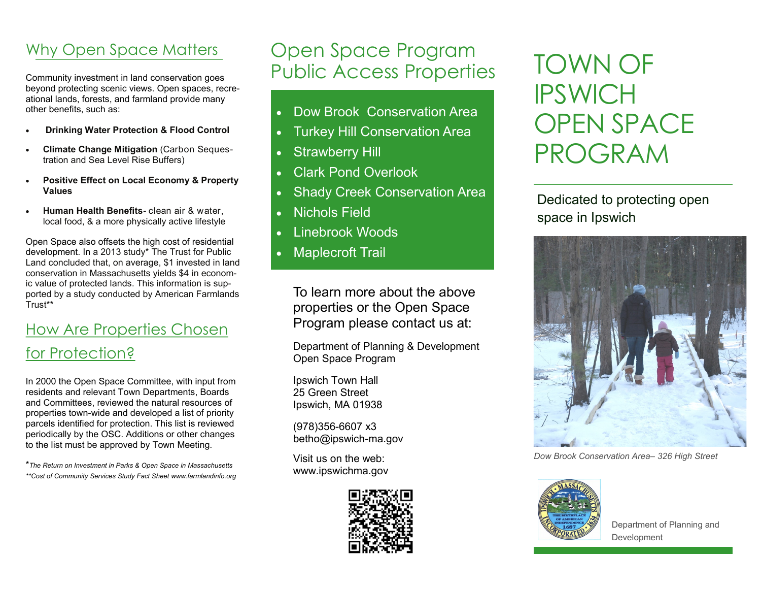## Why Open Space Matters

Community investment in land conservation goes beyond protecting scenic views. Open spaces, recreational lands, forests, and farmland provide many other benefits, such as:

- **Drinking Water Protection & Flood Control**
- **Climate Change Mitigation** (Carbon Sequestration and Sea Level Rise Buffers)
- **Positive Effect on Local Economy & Property Values**
- **Human Health Benefits-** clean air & water, local food, & a more physically active lifestyle

Open Space also offsets the high cost of residential development. In a 2013 study\* The Trust for Public Land concluded that, on average, \$1 invested in land conservation in Massachusetts yields \$4 in economic value of protected lands. This information is supported by a study conducted by American Farmlands Trust\*\*

## How Are Properties Chosen for Protection?

In 2000 the Open Space Committee, with input from residents and relevant Town Departments, Boards and Committees, reviewed the natural resources of properties town-wide and developed a list of priority parcels identified for protection. This list is reviewed periodically by the OSC. Additions or other changes to the list must be approved by Town Meeting.

\**The Return on Investment in Parks & Open Space in Massachusetts \*\*Cost of Community Services Study Fact Sheet www.farmlandinfo.org*

# Open Space Program Public Access Properties

- Dow Brook Conservation Area
- Turkey Hill Conservation Area
- Strawberry Hill
- Clark Pond Overlook
- Shady Creek Conservation Area
- Nichols Field
- Linebrook Woods
- Maplecroft Trail

To learn more about the above properties or the Open Space Program please contact us at:

Department of Planning & Development Open Space Program

Ipswich Town Hall 25 Green Street Ipswich, MA 01938

(978)356-6607 x3 betho@ipswich-ma.gov

Visit us on the web: www.ipswichma.gov



# TOWN OF **IPSWICH** OPEN SPACE PROGRAM

Dedicated to protecting open space in Ipswich



*Dow Brook Conservation Area– 326 High Street*



l

Department of Planning and Development